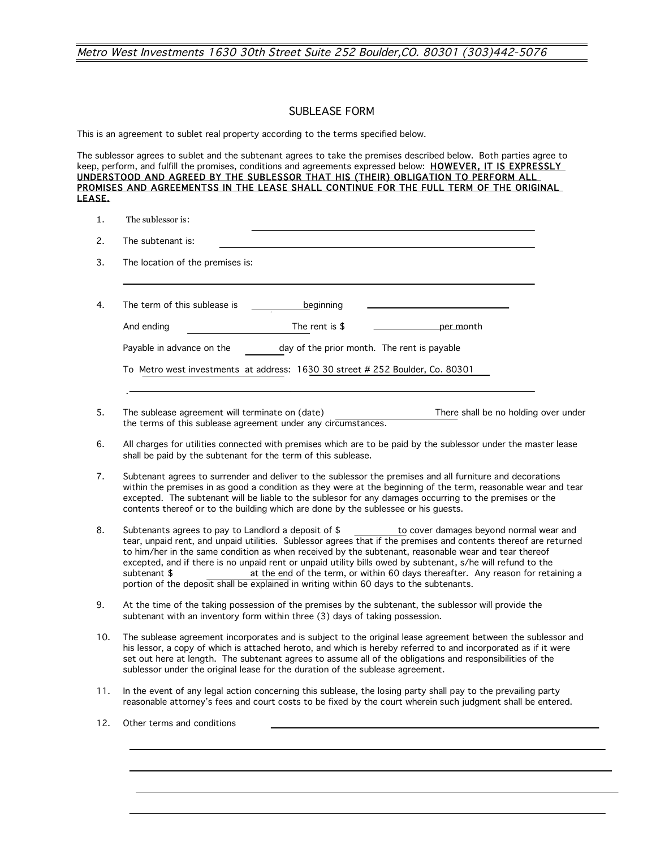## SUBLEASE FORM

This is an agreement to sublet real property according to the terms specified below.

The sublessor agrees to sublet and the subtenant agrees to take the premises described below. Both parties agree to keep, perform, and fulfill the promises, conditions and agreements expressed below: HOWEVER, IT IS EXPRESSLY UNDERSTOOD AND AGREED BY THE SUBLESSOR THAT HIS (THEIR) OBLIGATION TO PERFORM ALL PROMISES AND AGREEMENTSS IN THE LEASE SHALL CONTINUE FOR THE FULL TERM OF THE ORIGINAL LEASE.

1. The sublessor is:

| The location of the premises is: |                                                                               |
|----------------------------------|-------------------------------------------------------------------------------|
| The term of this sublease is     | beginning                                                                     |
| And ending                       | The rent is \$<br>per month                                                   |
| Payable in advance on the        | day of the prior month. The rent is payable                                   |
|                                  | To Metro west investments at address: 1630 30 street # 252 Boulder, Co. 80301 |

- 5. The sublease agreement will terminate on (date) There shall be no holding over under the terms of this sublease agreement under any circumstances.
- 6. All charges for utilities connected with premises which are to be paid by the sublessor under the master lease shall be paid by the subtenant for the term of this sublease.
- 7. Subtenant agrees to surrender and deliver to the sublessor the premises and all furniture and decorations within the premises in as good a condition as they were at the beginning of the term, reasonable wear and tear excepted. The subtenant will be liable to the sublesor for any damages occurring to the premises or the contents thereof or to the building which are done by the sublessee or his guests.
- 8. Subtenants agrees to pay to Landlord a deposit of  $\frac{1}{\sqrt{2}}$  to cover damages beyond normal wear and tear, unpaid rent, and unpaid utilities. Sublessor agrees that if the premises and contents thereof are returned to him/her in the same condition as when received by the subtenant, reasonable wear and tear thereof excepted, and if there is no unpaid rent or unpaid utility bills owed by subtenant, s/he will refund to the subtenant \$ at the end of the term, or within 60 days thereafter. Any reason for retaining a portion of the deposit shall be explained in writing within 60 days to the subtenants.
- 9. At the time of the taking possession of the premises by the subtenant, the sublessor will provide the subtenant with an inventory form within three (3) days of taking possession.
- 10. The sublease agreement incorporates and is subject to the original lease agreement between the sublessor and his lessor, a copy of which is attached heroto, and which is hereby referred to and incorporated as if it were set out here at length. The subtenant agrees to assume all of the obligations and responsibilities of the sublessor under the original lease for the duration of the sublease agreement.
- 11. In the event of any legal action concerning this sublease, the losing party shall pay to the prevailing party reasonable attorney's fees and court costs to be fixed by the court wherein such judgment shall be entered.
- 12. Other terms and conditions